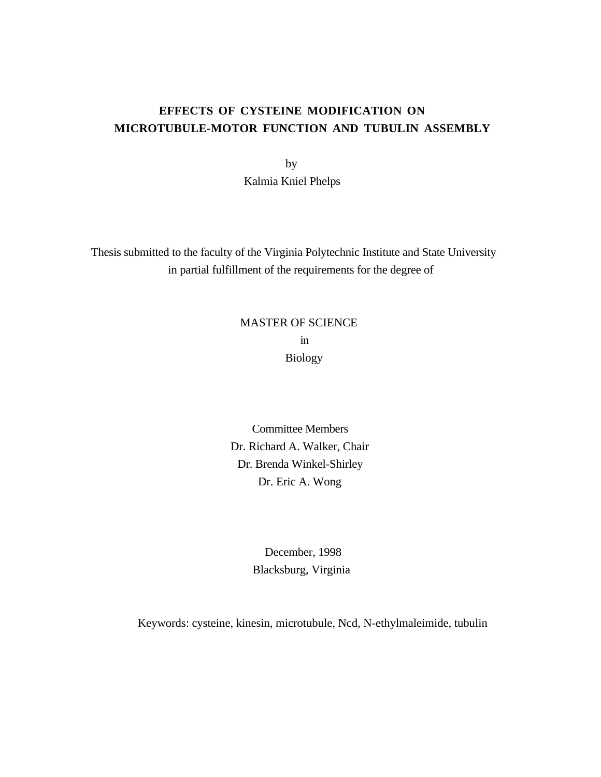# **EFFECTS OF CYSTEINE MODIFICATION ON MICROTUBULE-MOTOR FUNCTION AND TUBULIN ASSEMBLY**

 by Kalmia Kniel Phelps

 Thesis submitted to the faculty of the Virginia Polytechnic Institute and State University in partial fulfillment of the requirements for the degree of

# MASTER OF SCIENCE in Biology

Committee Members Dr. Richard A. Walker, Chair Dr. Brenda Winkel-Shirley Dr. Eric A. Wong

> December, 1998 Blacksburg, Virginia

Keywords: cysteine, kinesin, microtubule, Ncd, N-ethylmaleimide, tubulin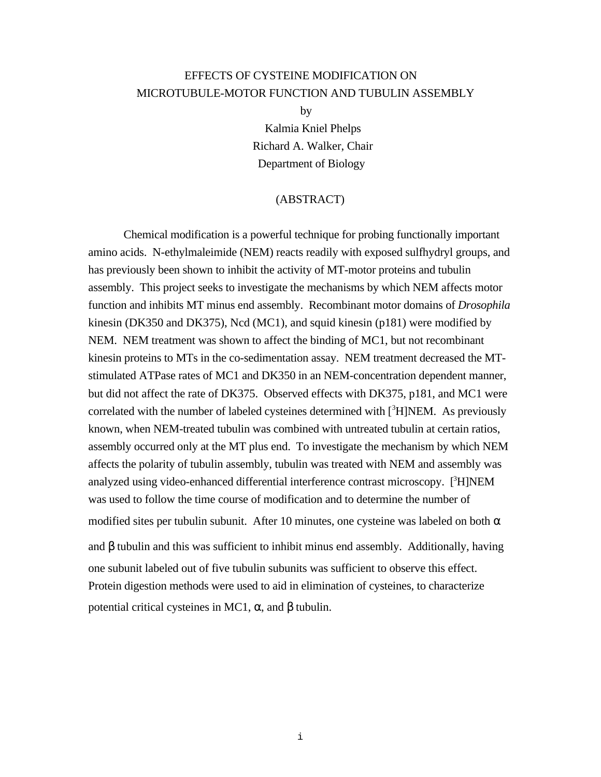# EFFECTS OF CYSTEINE MODIFICATION ON MICROTUBULE-MOTOR FUNCTION AND TUBULIN ASSEMBLY

by

Kalmia Kniel Phelps Richard A. Walker, Chair Department of Biology

#### (ABSTRACT)

Chemical modification is a powerful technique for probing functionally important amino acids. N-ethylmaleimide (NEM) reacts readily with exposed sulfhydryl groups, and has previously been shown to inhibit the activity of MT-motor proteins and tubulin assembly. This project seeks to investigate the mechanisms by which NEM affects motor function and inhibits MT minus end assembly. Recombinant motor domains of *Drosophila* kinesin (DK350 and DK375), Ncd (MC1), and squid kinesin (p181) were modified by NEM. NEM treatment was shown to affect the binding of MC1, but not recombinant kinesin proteins to MTs in the co-sedimentation assay. NEM treatment decreased the MTstimulated ATPase rates of MC1 and DK350 in an NEM-concentration dependent manner, but did not affect the rate of DK375. Observed effects with DK375, p181, and MC1 were correlated with the number of labeled cysteines determined with  $[^3H]$ NEM. As previously known, when NEM-treated tubulin was combined with untreated tubulin at certain ratios, assembly occurred only at the MT plus end. To investigate the mechanism by which NEM affects the polarity of tubulin assembly, tubulin was treated with NEM and assembly was analyzed using video-enhanced differential interference contrast microscopy. [3H]NEM was used to follow the time course of modification and to determine the number of modified sites per tubulin subunit. After 10 minutes, one cysteine was labeled on both  $\alpha$ and  $\beta$  tubulin and this was sufficient to inhibit minus end assembly. Additionally, having one subunit labeled out of five tubulin subunits was sufficient to observe this effect. Protein digestion methods were used to aid in elimination of cysteines, to characterize potential critical cysteines in MC1,  $\alpha$ , and β tubulin.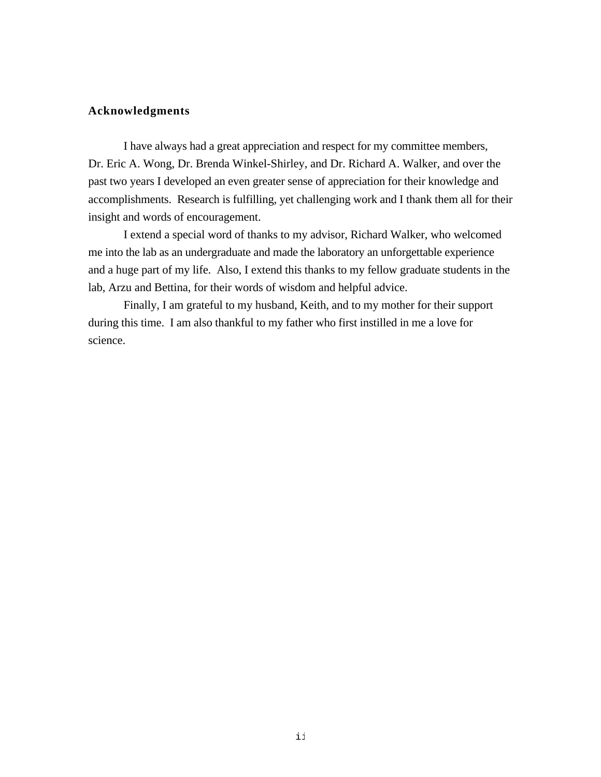#### **Acknowledgments**

I have always had a great appreciation and respect for my committee members, Dr. Eric A. Wong, Dr. Brenda Winkel-Shirley, and Dr. Richard A. Walker, and over the past two years I developed an even greater sense of appreciation for their knowledge and accomplishments. Research is fulfilling, yet challenging work and I thank them all for their insight and words of encouragement.

I extend a special word of thanks to my advisor, Richard Walker, who welcomed me into the lab as an undergraduate and made the laboratory an unforgettable experience and a huge part of my life. Also, I extend this thanks to my fellow graduate students in the lab, Arzu and Bettina, for their words of wisdom and helpful advice.

Finally, I am grateful to my husband, Keith, and to my mother for their support during this time. I am also thankful to my father who first instilled in me a love for science.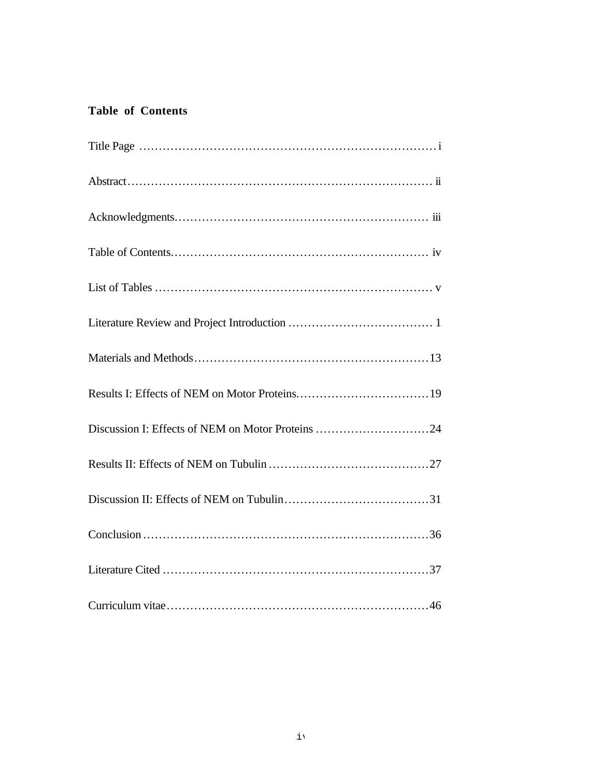# **Table of Contents**

| Discussion I: Effects of NEM on Motor Proteins 24 |
|---------------------------------------------------|
|                                                   |
|                                                   |
|                                                   |
|                                                   |
|                                                   |